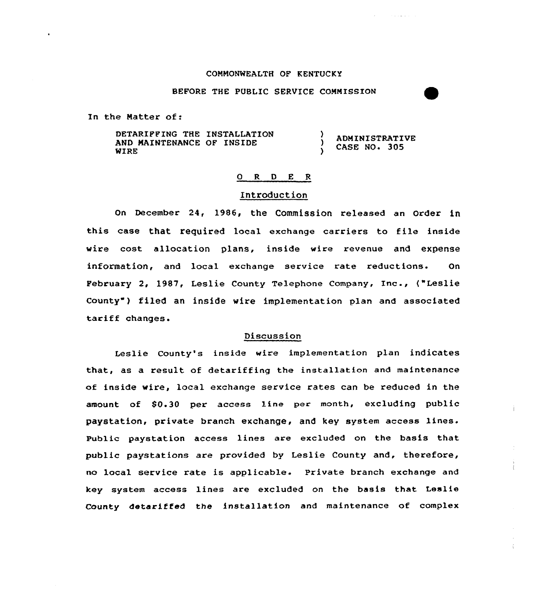### COMMONWEALTH OF KENTUCKY

**Contractor** 

#### BEFORE THE PUBLIC SERVICE COMMISSION

In the Natter of:

DETARIPPING THE INSTALLATION <sup>1</sup> ADMINISTRATIVE AND MAINTENANCE OF INSIDE CASE NO. 305 WIRE

### 0 R <sup>D</sup> E <sup>R</sup>

#### Introduction

On December 24, 1986, the Commission released an Order in this case that X'equired local exchange carriers to file inside wire cost allocation plans, inside wire revenue and expense information, and local exchange service rate reductions. On Pebruary 2, 1987, Leslie County Telephone Company, Inc., ("Leslie County") filed an inside wire implementation plan and associated tariff changes.

# Discussion

Leslie County's inside wire implementation plan indicates that, as a result of detariffing the installation and maintenance of inside wire, local exchange service rates can be reduced in the amount of \$0.30 per access line per month, excluding public paystation, private branch exchange, and key system access lines. Public paystation access lines are excluded on the basis that public paystations are provided by Leslie County and, therefore, no local service rate is applicable. Private branch exchange and key system access lines are excluded on the basis that Leslie County 4etariffed the installation and maintenance of complex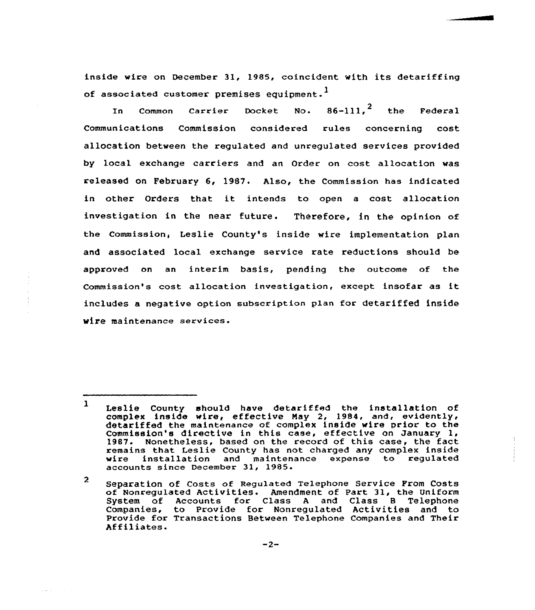inside wire an December 31, 1985, coincident with its detariffing of associated customer premises equipment.<sup>1</sup>

In Common Carrier Docket No.  $86-111,^2$  the Federal Communications Commission considered rules concerning cost allocation between the regulated and unregulated services provided by local exchange carriers and an Order on cost allocation was released on February 6, 1987. Also, the Commission has indicated in other Orders that it intends to open a cost allocation investigation in the near future. Therefore, in the opinion of the Commission, Leslie County's inside wire implementation plan and associated local exchange service rate reductions should be approved on an interim basis, pending the outcome of the Commission's cost allocation investigation, except insofar as it includes a negative option subscription plan for detariffed inside wire maintenance services.

 $\sim 10^{-1}$ 

<sup>1</sup> Leslie County should have detariffed the installation of complex inside wire, effective May 2, 1984, and, evidently detariffed the maintenance of complex inside wire prior to the Commission's directive in this case, effective on January 1, 1987. Nonetheless, based on the record of this case, the fact remains that Leslie County has not charged any complex inside installation and maintenance expense to regulated accounts since December 31, 1985.

<sup>2</sup> Separation of Costs of Regulated Telephone Service Prom Costs of Nanregulated Activities. Amendment of Part 31, the Uniform System of Accounts for Class A and Class B Telephon Companies, to Provide for Nonregulated Activities and to Provide for Transactions Between Telephone Companies and Their Affiliates.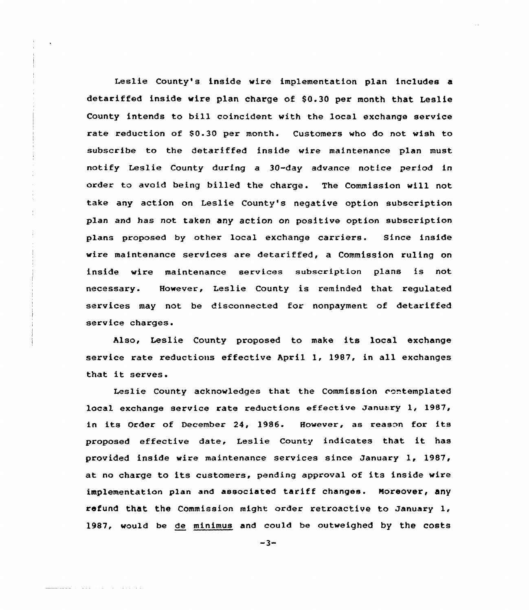Leslie County's inside wire implementation plan includes a detariffed inside wire plan charge of \$0.30 per month that Leslie County intends to bill coincident with the local exchange service rate reduction of \$0.30 per month. Customers who do not wish to subscribe to the detariffed inside wire maintenance plan must notify Leslie County during a 30-day advance notice period in order to avoid being billed the charge. The Commission will not take any action on Leslie County's negative option subscription plan and has not taken any action on positive option subscription plans proposed by other local exchange carriers. Since inside wire maintenance services are detariffed, a Commission ruling on inside wire maintenance services subscription plans is not necessary. However, Leslie County is reminded that regulated services may not be disconnected for nonpayment of detariffed service charges.

Also, Leslie County proposed to make its local exchange service rate reductions effective April 1, 1987, in all exchanges that it serves.

Leslie County acknowledges that the Commission contemplated local exchange service rate reductions effective January 1, 1987, in its Order of December 24, 1986. However, as reason for its proposed effective date, Leslie County indicates that it has provided inside wire maintenance services since January 1, 1987, at no charge to its customers, pending approval of its inside wire implementation plan and associated tariff changes. Moreover, any refund that the Commission might order retroactive to January 1, 1987, would be de minimus and could be outweighed by the costs

 $-3-$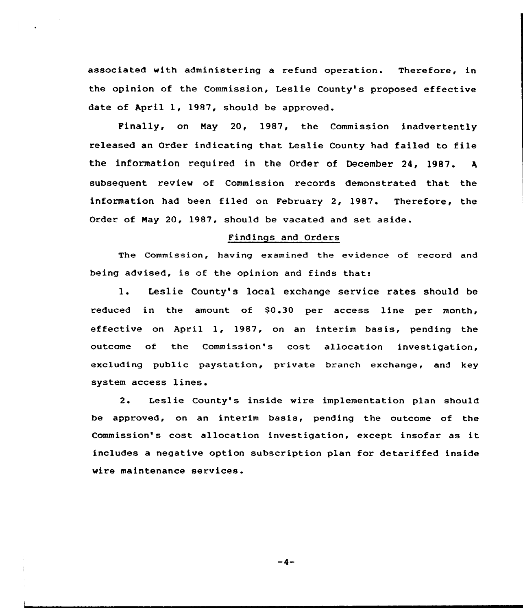associated with administering a refund operation. Therefore, in the opinion of the Commission, Leslie County's proposed effective date of April 1, 1987, should be approved.

Finally, on May 20, 1987, the Commission inadvertently released an Order indicating that Leslie County had failed to file the information required in the Order of December 24, 1987.  $\mathbf{A}$ subsequent review of Commission records demonstrated that the information had been filed on February 2, 1987. Therefore, the Order of Nay 20, 1987, should be vacated and set aside.

# Findings and Orders

The Commission, having examined the evidence of record and being advised, is of the opinion and finds that:

1. Leslie County's local exchange service rates should be reduced in the amount of S0.30 per access line per month, effective on April 1, 1987, on an interim basis, pending the outcome of the Commission's cost allocation investigation, excluding public paystation, private branch exchange, and key system access lines.

2. Leslie County's inside wire implementation plan should be approved, on an interim basis, pending the outcome of the Commission's cost allocation investigation, except insofar as it includes a negative option subscription plan for detariffed inside wire maintenance services.

 $-4-$